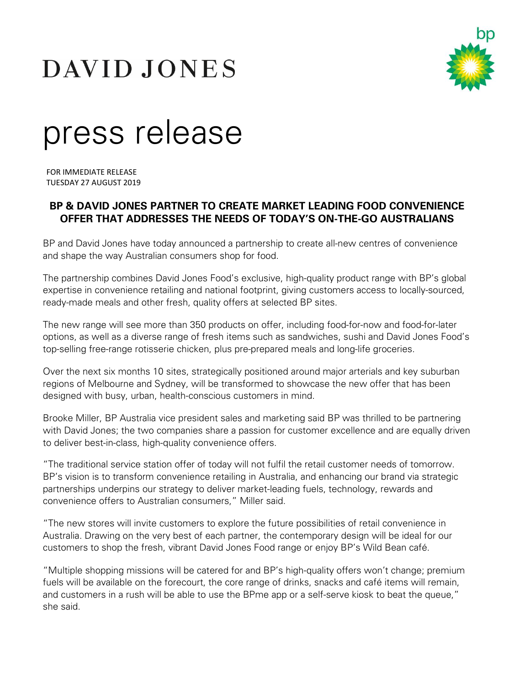# DAVID JONES



# press release

FOR IMMEDIATE RELEASE TUESDAY 27 AUGUST 2019

# **BP & DAVID JONES PARTNER TO CREATE MARKET LEADING FOOD CONVENIENCE OFFER THAT ADDRESSES THE NEEDS OF TODAY'S ON-THE-GO AUSTRALIANS**

BP and David Jones have today announced a partnership to create all-new centres of convenience and shape the way Australian consumers shop for food.

The partnership combines David Jones Food's exclusive, high-quality product range with BP's global expertise in convenience retailing and national footprint, giving customers access to locally-sourced, ready-made meals and other fresh, quality offers at selected BP sites.

The new range will see more than 350 products on offer, including food-for-now and food-for-later options, as well as a diverse range of fresh items such as sandwiches, sushi and David Jones Food's top-selling free-range rotisserie chicken, plus pre-prepared meals and long-life groceries.

Over the next six months 10 sites, strategically positioned around major arterials and key suburban regions of Melbourne and Sydney, will be transformed to showcase the new offer that has been designed with busy, urban, health-conscious customers in mind.

Brooke Miller, BP Australia vice president sales and marketing said BP was thrilled to be partnering with David Jones; the two companies share a passion for customer excellence and are equally driven to deliver best-in-class, high-quality convenience offers.

"The traditional service station offer of today will not fulfil the retail customer needs of tomorrow. BP's vision is to transform convenience retailing in Australia, and enhancing our brand via strategic partnerships underpins our strategy to deliver market-leading fuels, technology, rewards and convenience offers to Australian consumers," Miller said.

"The new stores will invite customers to explore the future possibilities of retail convenience in Australia. Drawing on the very best of each partner, the contemporary design will be ideal for our customers to shop the fresh, vibrant David Jones Food range or enjoy BP's Wild Bean café.

"Multiple shopping missions will be catered for and BP's high-quality offers won't change; premium fuels will be available on the forecourt, the core range of drinks, snacks and café items will remain, and customers in a rush will be able to use the BPme app or a self-serve kiosk to beat the queue," she said.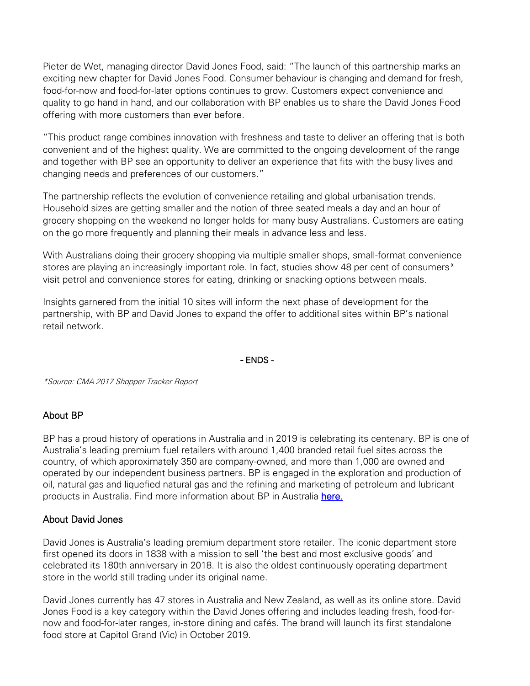Pieter de Wet, managing director David Jones Food, said: "The launch of this partnership marks an exciting new chapter for David Jones Food. Consumer behaviour is changing and demand for fresh, food-for-now and food-for-later options continues to grow. Customers expect convenience and quality to go hand in hand, and our collaboration with BP enables us to share the David Jones Food offering with more customers than ever before.

"This product range combines innovation with freshness and taste to deliver an offering that is both convenient and of the highest quality. We are committed to the ongoing development of the range and together with BP see an opportunity to deliver an experience that fits with the busy lives and changing needs and preferences of our customers."

The partnership reflects the evolution of convenience retailing and global urbanisation trends. Household sizes are getting smaller and the notion of three seated meals a day and an hour of grocery shopping on the weekend no longer holds for many busy Australians. Customers are eating on the go more frequently and planning their meals in advance less and less.

With Australians doing their grocery shopping via multiple smaller shops, small-format convenience stores are playing an increasingly important role. In fact, studies show 48 per cent of consumers\* visit petrol and convenience stores for eating, drinking or snacking options between meals.

Insights garnered from the initial 10 sites will inform the next phase of development for the partnership, with BP and David Jones to expand the offer to additional sites within BP's national retail network.

#### - ENDS -

\*Source: CMA 2017 Shopper Tracker Report

## About BP

BP has a proud history of operations in Australia and in 2019 is celebrating its centenary. BP is one of Australia's leading premium fuel retailers with around 1,400 branded retail fuel sites across the country, of which approximately 350 are company-owned, and more than 1,000 are owned and operated by our independent business partners. BP is engaged in the exploration and production of oil, natural gas and liquefied natural gas and the refining and marketing of petroleum and lubricant products in Australia. Find more information about BP in Australia [here.](http://www.bp.com.au/)

## About David Jones

David Jones is Australia's leading premium department store retailer. The iconic department store first opened its doors in 1838 with a mission to sell 'the best and most exclusive goods' and celebrated its 180th anniversary in 2018. It is also the oldest continuously operating department store in the world still trading under its original name.

David Jones currently has 47 stores in Australia and New Zealand, as well as its online store. David Jones Food is a key category within the David Jones offering and includes leading fresh, food-fornow and food-for-later ranges, in-store dining and cafés. The brand will launch its first standalone food store at Capitol Grand (Vic) in October 2019.